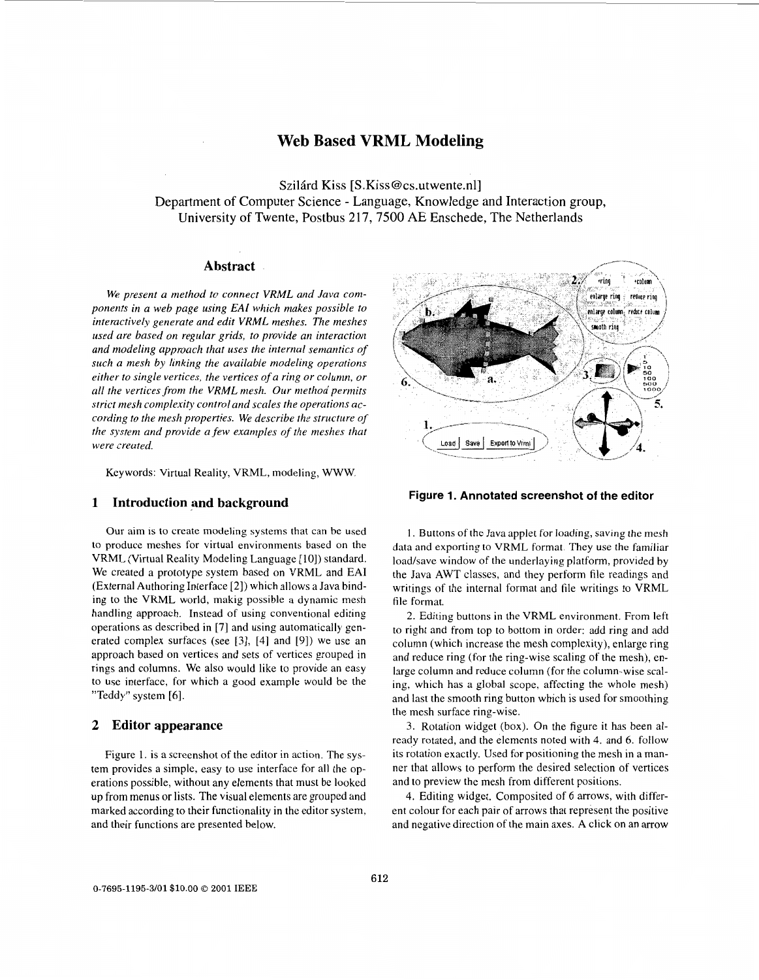# **Web Based VRML Modeling**

Szilard Kiss [S.Kiss@cs.utwente.n1] Department of Computer Science - Language, Knowledge and Interaction group, University of Twente, Postbus 217,7500 **AE** Enschede, The Netherlands

# **Abstract**

*We present a method to connect VRML and Java components in a web page using EA1 which makes possible to interactively generate and edit VRML meshes. The meshes used are based on regular grids, to provide an interaction and modeling approach that uses the internal semantics of such a mesh by linking the available modeling operations either to single vertices, the vertices of a ring or column, or all the vertices from the VRML mesh. Our method permits strict mesh complexity control and scales the operations according to the mesh properties. We describe the structure of the system and provide a few examples of the meshes that were created.* 

Keywords: Virtual Reality, VRML, modeling, WWW.

# **1 Introduction and background**

Our aim **is** to create modeling systems that can be used to produce meshes for virtual environments based on the VRML (Virtual Reality Modeling Language [lo]) standard. We created a prototype system based on VRML and EA1 (External Authoring Interface [2]) which allows a Java binding to the VRML world, makig possible a dynamic mesh handling approach. Instead of using conventional editing operations as described in [7] and using automatically generated complex surfaces (see 131, 141 and 191) we use an approach based on vertices and sets of vertices grouped in rings and columns. We also would like to provide an easy to use interface, for which a good example would be the "Teddy" system [6].

### **2 Editor appearance**

Figure **1.** is a screenshot of the editor in action. The system provides a simple, easy to use interface for all the operations possible, without any elements that must be looked **up** from menus or lists. The visual elements are grouped and marked according to their functionality in the editor system, and their functions are presented below.



**Figure 1. Annotated screenshot of the editor** 

**1.** Buttons of the Java applet for loading, saving the mesh data and exporting to VRML format. They use the familiar load/save window of the underlaying platform, provided by the Java AWT classes, and they perform file readings and writings of the internal format and file writings to VRML file format.

2. Editing buttons in the VRML environment. From left to right and from top to bottom in order: add ring and add column (which increase the mesh complexity), enlarge ring and reduce ring (for the ring-wise scaling of the mesh), enlarge column and reduce column (for the column-wise scaling, which has a global scope, affecting the whole mesh) and last the smooth ring button which is used for smoothing the mesh surface ring-wise.

3. Rotation widget (box). On the figure it has been already rotated, and the elements noted with 4. and 6. follow its rotation exactly. Used for positioning the mesh in a manner that allows to perform the desired selection of vertices and to preview the mesh from different positions.

4. Editing widget. Composited of 6 arrows, with different colour for each pair of arrows that represent the positive and negative direction of the main axes. A click on an arrow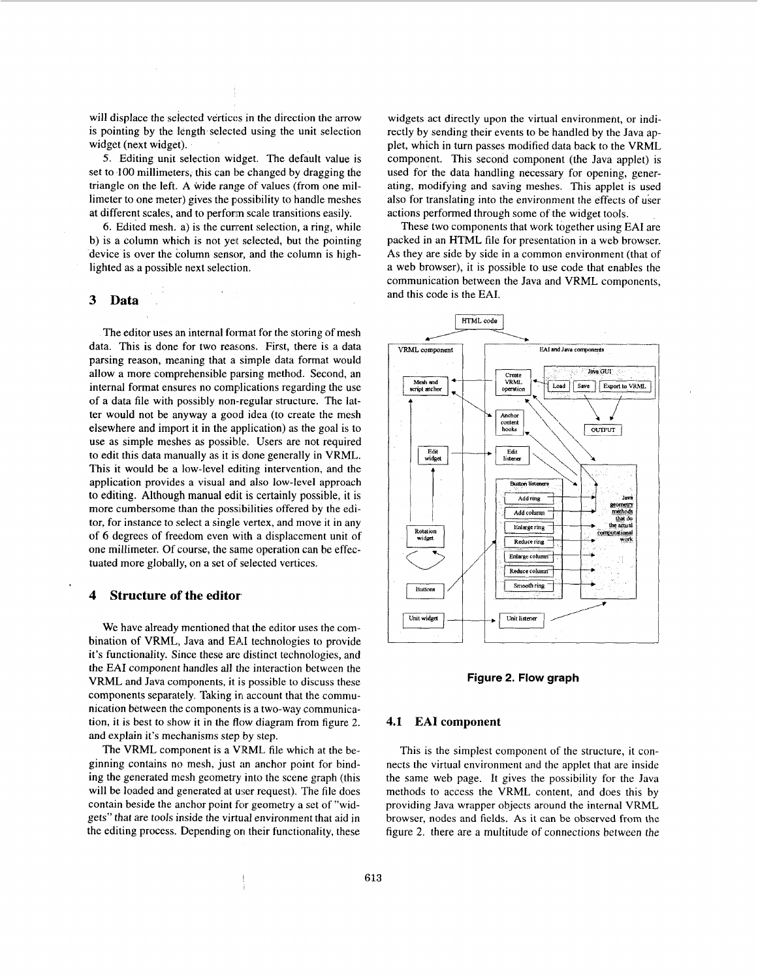<span id="page-1-0"></span>will displace the selected vertices in the direction the arrow is pointing by the length selected using the unit selection widget (next widget).

5. Editing unit selection widget. The default value is set to 100 millimeters, this can be changed by dragging the triangle on the left. **A** wide range of values (from one millimeter to one meter) gives the possibility to handle meshes at different scales, and to perform scale transitions easily.

**6.** Edited mesh. a) is the cunrent selection, a ring, while b) is a column which is not yet selected, but the pointing device is over the column sensor, and the column is highlighted as a possible next selection.

# **3 Data**

The editor uses an internal format for the storing of mesh data. This is done for two reasons. First, there is a data parsing reason, meaning that a simple data format would allow a more comprehensible parsing method. Second, an internal format ensures no complications regarding the use of a data file with possibly non-regular structure. The latter would not be anyway a good idea (to create the mesh elsewhere and import it in the application) as the goal is to use as simple meshes as possible. Users are not required to edit this data manually as it is done generally in VRML. This it would be a low-level editing intervention, and the application provides a visual and also low-level approach to editing. Although manual edit is certainly possible, it is more cumbersome than the possibilities offered by the editor, for instance to select a single vertex, and move it in any of *6* degrees of freedom even with a displacement unit of one millimeter. Of course, the same operation can be effectuated more globally, on a set of selected vertices.

# **4 Structure of the editor**

We have already mentioned that the editor uses the combination of VRML, Java and **EA1** technologies to provide it's functionality. Since these are distinct technologies, and the **EA1** component handles all the interaction between the VRML and Java components, it is possible to discuss these components separately. Taking in account that the communication between the components is a two-way communication, it is best to show it in the flow diagram from figure 2. and explain it's mechanisms step by step.

The VRML component is a VRML file which at the beginning contains no mesh, just an anchor point for binding the generated mesh geometry into the scene graph (this will be loaded and generated at user request). The file does contain beside the anchor point for geometry a set of "widgets" that are tools inside the virtual environment that aid in the editing process. Depending on their functionality, these widgets act directly upon the virtual environment, or indirectly by sending their events to be handled by the Java applet, which in turn passes modified data back to the VRML component. This second component (the Java applet) is used for the data handling necessary for opening, generating, modifying and saving meshes. This applet is used also for translating into the environment the effects of user actions performed through some of the widget tools.

These two components that work together using **EA1** are packed in an HTML file for presentation in a web browser. **As** they are side by side in a common environment (that of a web browser), it is possible to use code that enables the communication between the Java and VRML components, and this code is the **EAI.** 



**Figure 2. Flow graph** 

#### **4.1 EA1 component**

This is the simplest component of the structure, it connects the virtual environment and the applet that are inside the same web page. It gives the possibility for the Java methods to access the VRML content, and does this by providing Java wrapper objects around the internal VRML browser, nodes and fields. **As** it can be observed from the figure 2. there are a multitude of connections between the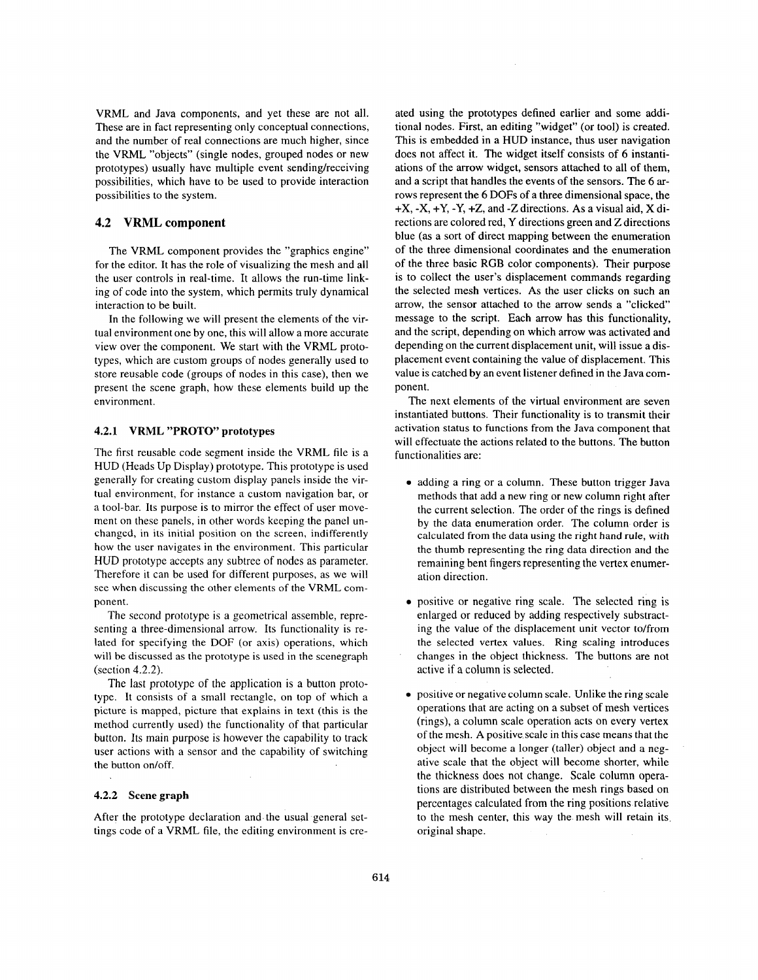VRML and Java components, and yet these are not all. These are in fact representing only conceptual connections, and the number of real connections are much higher, since the VRML "objects" (single nodes, grouped nodes or new prototypes) usually have multiple event sending/receiving possibilities, which have to be used to provide interaction possibilities to the system.

# **4.2 VRML component**

The VRML component provides the "graphics engine" for the editor. It has the role of visualizing the mesh and all the user controls in real-time. It allows the run-time linking of code into the system, which permits truly dynamical interaction to be built.

In the following we will present the elements of the virtual environment one by one, this will allow a more accurate view over the component. We start with the VRML prototypes, which are custom groups of nodes generally used to store reusable code (groups of nodes in this case), then we present the scene graph, how these elements build up the environment.

#### **4.2.1 VRML "PROTO" prototypes**

The first reusable code segment inside the VRML file is a HUD (Heads Up Display) prototype. This prototype is used generally for creating custom display panels inside the virtual environment, for instance a custom navigation bar, or a tool-bar. Its purpose is to mirror the effect of user movement on these panels, in other words keeping the panel unchanged, in its initial position on the screen, indifferently how the user navigates in the environment. This particular HUD prototype accepts any subtree of nodes as parameter. Therefore it can be used for different purposes, as we will see when discussing the other elements of the VRML component.

The second prototype is a geometrical assemble, representing a three-dimensional arrow. Its functionality is related for specifying the DOF (or axis) operations, which will be discussed as the prototype is used in the scenegraph (section 4.2.2).

The last prototype of the application is a button prototype. It consists of a small rectangle, on top of which a picture **is** mapped, picture that explains in text (this is the method currently used) the functionality of that particular button. Its main purpose is however the capability to track user actions with a sensor and the capability of switching the button on/off.

#### **4.2.2 Scene graph**

After the prototype declaration and the usual general settings code of a VRML file, the editing environment is created using the prototypes defined earlier and some additional nodes. First, an editing "widget" (or tool) is created. This is embedded in a HUD instance, thus user navigation does not affect it. The widget itself consists of 6 instantiations of the arrow widget, sensors attached to all of them, and a script that handles the events of the sensors. The *6* **ar**rows represent the 6 DOFs of a three dimensional space, the +X, -X, +Y, -Y, +Z, and -Z directions. **As** a visual aid, X directions are colored red, Y directions green and Z directions blue (as a sort of direct mapping between the enumeration of the three dimensional coordinates and the enumeration of the three basic RGB color components). Their purpose is to collect the user's displacement commands regarding the selected mesh vertices. **As** the user clicks on such an arrow, the sensor attached to the arrow sends a "clicked" message to the script. Each arrow has this functionality, and the script, depending on which arrow was activated and depending on the current displacement unit, will issue a displacement event containing the value of displacement. This value is catched by an event listener defined in the Java component.

The next elements of the virtual environment are seven instantiated buttons. Their functionality is to transmit their activation status to functions from the Java component that will effectuate the actions related to the buttons. The button functionalities are:

- *0* adding a ring or a column. These button trigger Java methods that add a new ring or new column right after the current selection. The order of the rings is defined by the data enumeration order. The column order is calculated from the data using the right hand rule, with the thumb representing the ring data direction and the remaining bent fingers representing the vertex enumeration direction.
- positive or negative ring scale. The selected ring is enlarged or reduced by adding respectively substracting the value of the displacement unit vector to/from the selected vertex values. Ring scaling introduces changes in the object thickness. The buttons are not active if a column is selected.
- *0* positive or negative column scale. Unlike the ring scale operations that are acting on a subset of mesh vertices (rings), a column scale operation acts on every vertex of the mesh. A positive scale in this case means that the object will become a longer (taller) object and a negative scale that the object will become shorter, while the thickness does not change. Scale column operations are distributed between the mesh rings based on percentages calculated from the ring positions relative to the mesh center, this way the mesh will retain its original shape.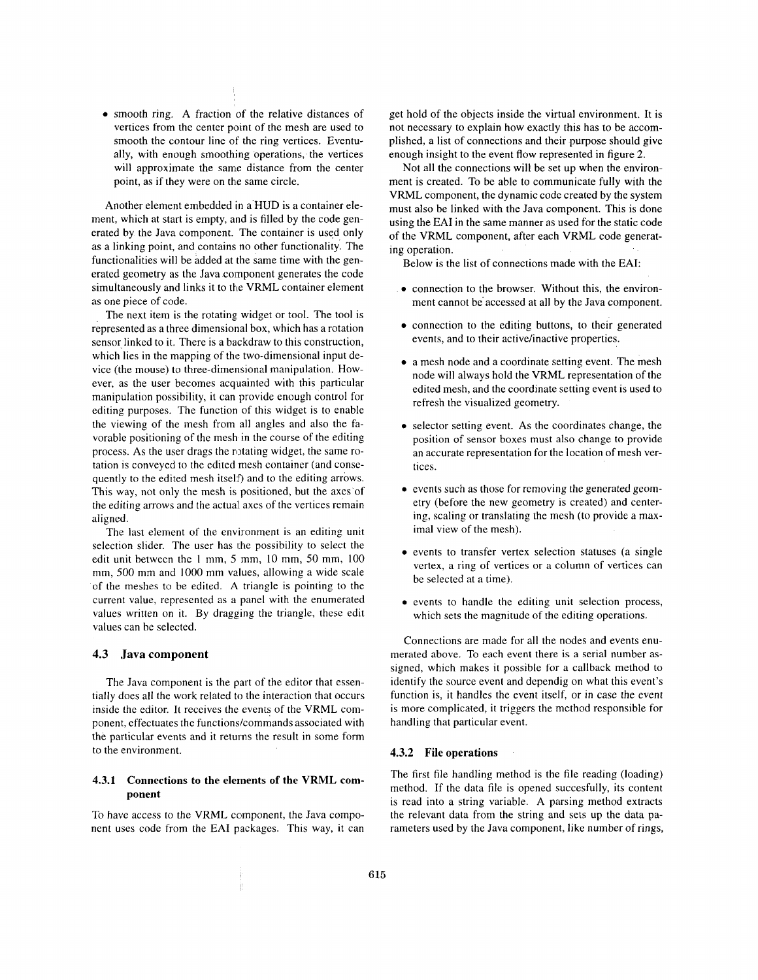smooth ring. **A** fraction of the relative distances of vertices from the center point of the mesh are used to smooth the contour line of the ring vertices. Eventually, with enough smoothing operations, the vertices will approximate the same distance from the center point, as if they were on the same circle.

Another element embedded in a'HUD is a container element, which at start is empty, and is filled by the code generated by the Java component. The container is used only as a linking point, and contains no other functionality: The functionalities will be added at the same time with the generated geometry as the Java component generates the code simultaneously and links it to the VRML container element as one piece of code.

The next item is the rotating widget or tool. The tool is represented as a three dimensional box, which has a rotation sensor linked to it. There is a backdraw to this construction, which lies in the mapping of the two-dimensional input device (the mouse) to three-dimensional manipulation. However, as the user becomes acquainted with this particular manipulation possibility, it can provide enough control for editing purposes. The function of this widget is to enable the viewing of the mesh from all angles and also the favorable positioning of the mesh in the course of the editing process. As the user drags the rotating widget, the same rotation is conveyed to the edited mesh container (and consequently to the edited mesh itself) and to the editing arrows. This way, not only the mesh is positioned, but the axes'of the editing arrows and the actual axes of the vertices remain aligned.

The last element of the environment is an editing unit selection slider. The user has the possibility to select the edit unit between the **1** mm, 5 mm, IO mm, 50 mm, 100 mm, 500 mm and 1000 mm values, allowing a wide scale of the meshes to be edited. A triangle is pointing to the current value, represented as a panel with the enumerated values written on it. By dragging the triangle, these edit values can be selected.

#### **4.3 Java component**

The Java component is the part of the editor that essentially does all the work related to the interaction that occurs inside the editor. It receives the events of the VRML component, effectuates the functions/commands associated with the particular events and it returns the result in some form to the environment.

### **4.3.1 Connections to the elements of the VRML component**

To have access to the VRML component, the Java component uses code from the EAI packages. This way, it can get hold of the objects inside the virtual environment. It is not necessary to explain how exactly this has to be accomplished, a list of connections and their purpose should give enough insight to the event flow represented in [figure](#page-1-0) **2.** 

Not all the connections will be set up when the environment is created. To be able to communicate fully with the VRML component, the dynamic code created by the system must also be linked with the Java component. This is done using the **EA1** in the same manner as used for the static code of the VRML component, after each VRML code generating operation.

Below is the list of connections made with the **EAI:** 

- **.o**  connection to the browser. Without this, the environment cannot be accessed at all by the Java component.
- *0*  connection to the editing buttons, to their generated events, and to their active/inactive properties.
- *0*  a mesh node and a coordinate setting event. The mesh node will always hold the VRML representation of the edited mesh, and the coordinate setting event is used to refresh the visualized geometry.
- *0*  selector setting event. **As** the coordinates change, the position of sensor boxes must also change to provide an accurate representation for the location of mesh vertices.
- *0*  events such as those for removing the generated geometry (before the new geometry is created) and centering, scaling or translating the mesh (to provide a maximal view of the mesh).
- *0*  events to transfer vertex selection statuses (a single vertex, a ring of vertices or a column of vertices can be selected at a time).
- *0*  events to handle the editing unit selection process, which sets the magnitude of the editing operations.

Connections are made for all the nodes and events enumerated above. To each event there is a serial number assigned, which makes it possible for a callback method to identify the source event and dependig on what this event's function is, it handles the event itself, or in case the event is more complicated, it triggers the method responsible for handling that particular event.

## **4.3.2 File operations**

The first file handling method is the file reading (loading) method. If the data file is opened succesfully, its content is read into a string variable. **A** parsing method extracts the relevant data from the string and sets **up** the data parameters used by the Java component, like number of rings,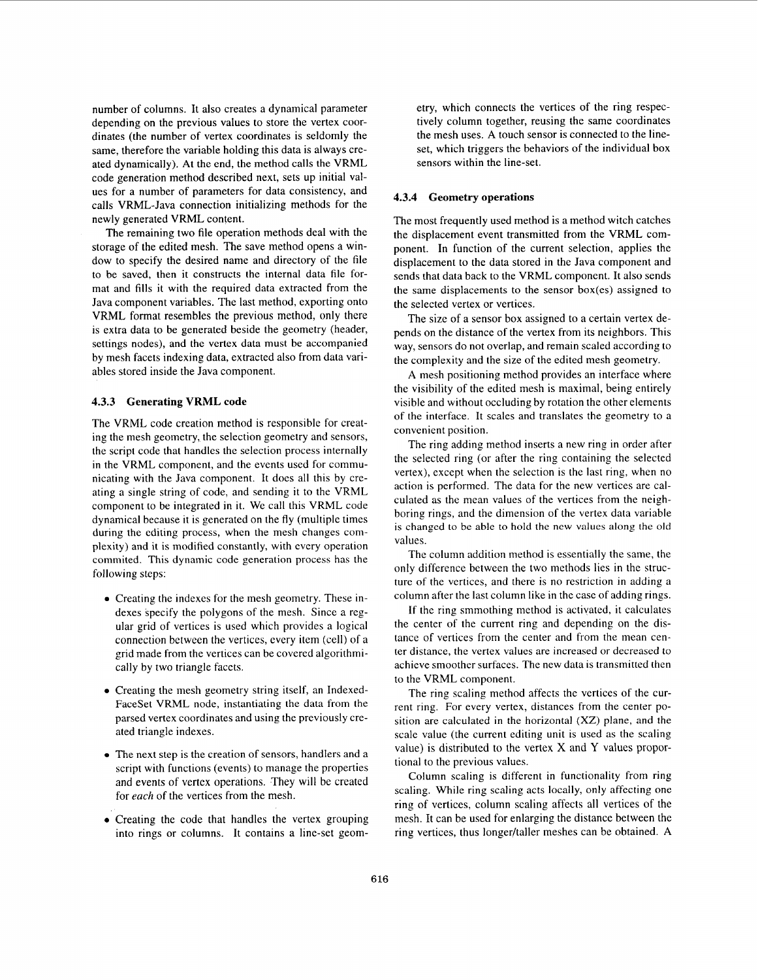number of columns. **It** also creates a dynamical parameter depending on the previous values to store the vertex coordinates (the number of vertex coordinates is seldomly the same, therefore the variable holding this data is always created dynamically). **At** the end, the method calls the VRML code generation method described next, sets up initial values for a number of parameters for data consistency, and calls VRML-Java connection initializing methods for the newly generated VRML content.

The remaining two file operation methods deal with the storage of the edited mesh. The save method opens a window to specify the desired name and directory of the file to be saved, then it constructs the internal data file format and fills it with the required data extracted from the Java component variables. The last method, exporting onto VRML format resembles the previous method, only there is extra data to be generated beside the geometry (header, settings nodes), and the vertex data must be accompanied by mesh facets indexing data, extracted also from data variables stored inside the Java component.

#### **4.3.3 Generating VRML code**

The VRML code creation method is responsible for creating the mesh geometry, the selection geometry and sensors, the script code that handles the selection process internally in the VRML component, and the events used for communicating with the Java component. It does all this by creating a single string of code, and sending it to the VRML component to be integrated in it. We call this VRML code dynamical because it is generated on the fly (multiple times during the editing process, when the mesh changes complexity) and it is modified constantly, with every operation commited. This dynamic code generation process has the following steps:

- Creating the indexes for the mesh geometry. These indexes specify the polygons of the mesh. Since a regular grid of vertices is used which provides a logical connection between the vertices, every item (cell) of a grid made from the vertices can be covered algorithmically by two triangle facets.
- Creating the mesh geometry string itself, an Indexed-FaceSet VRML node, instantiating the data from the parsed vertex coordinates and using the previously created triangle indexes.
- The next step is the creation of sensors, handlers and a script with functions (events) to manage the properties and events of vertex operations. They will be created for *each* of the vertices from the mesh.
- Creating the code that handles the vertex grouping into rings or columns. It contains a line-set geom-

etry, which connects the vertices of the ring respectively column together, reusing the same coordinates the mesh uses. **A** touch sensor is connected to the lineset, which triggers the behaviors of the individual box sensors within the line-set.

# **4.3.4 Geometry operations**

The most frequently used method is a method witch catches the displacement event transmitted from the VRML component. In function of the current selection, applies the displacement to the data stored in the Java component and sends that data back to the VRML component. It also sends the same displacements to the sensor box(es) assigned to the selected vertex or vertices.

The size of a sensor box assigned to a certain vertex depends on the distance of the vertex from its neighbors. This way, sensors do not overlap, and remain scaled according to the complexity and the size of the edited mesh geometry.

**A** mesh positioning method provides an interface where the visibility of the edited mesh is maximal, being entirely visible and without occluding by rotation the other elements of the interface. It scales and translates the geometry to a convenient position.

The ring adding method inserts a new ring in order after the selected ring (or after the ring containing the selected vertex), except when the selection is the last ring, when no action is performed. The data for the new vertices are calculated as the mean values of the vertices from the neighboring rings, and the dimension of the vertex data variable is changed to be able to hold the new values along the old values.

The column addition method is esscntially the same, the only difference between the two methods lies in the structure of the vertices, and there is no restriction in adding a column after the last column like in the case of adding rings.

If the ring smmothing method is activated, it calculates the center of the current ring and depending on the distance of vertices from the center and from the mean center distance, the vertex values are increased or decreased to achieve smoother surfaces. The new data is transmitted then to the VRML component.

The ring scaling method affects the vertices of the current ring. For every vertex, distances from the center position are calculated in the horizontal **(XZ)** plane, and the scale value (the current editing unit is used as the scaling value) is distributed to the vertex X and Y values proportional to the previous values.

Column scaling is different in functionality from ring scaling. While ring scaling acts locally, only affecting one ring of vertices, column scaling affects all vertices of the mesh. It can be used for enlarging the distance between the ring vertices, thus longer/taller meshes can be obtained. A